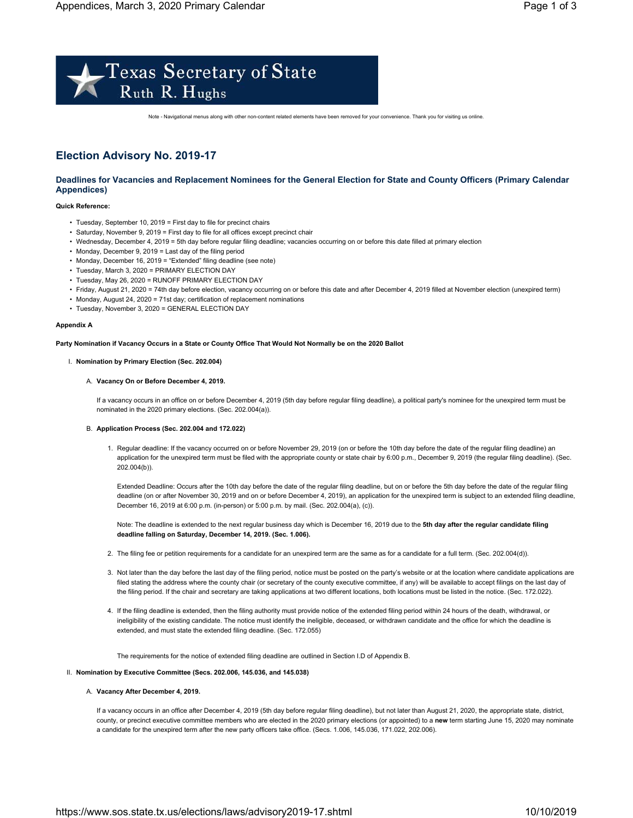

Note - Navigational menus along with other non-content related elements have been removed for your convenience. Thank you for visiting us online.

# **Election Advisory No. 2019-17**

# **Deadlines for Vacancies and Replacement Nominees for the General Election for State and County Officers (Primary Calendar Appendices)**

# **Quick Reference:**

- Tuesday, September 10, 2019 = First day to file for precinct chairs
- Saturday, November 9, 2019 = First day to file for all offices except precinct chair
- Wednesday, December 4, 2019 = 5th day before regular filing deadline; vacancies occurring on or before this date filled at primary election
- Monday, December 9, 2019 = Last day of the filing period
- Monday, December 16, 2019 = "Extended" filing deadline (see note)
- Tuesday, March 3, 2020 = PRIMARY ELECTION DAY
- Tuesday, May 26, 2020 = RUNOFF PRIMARY ELECTION DAY
- Friday, August 21, 2020 = 74th day before election, vacancy occurring on or before this date and after December 4, 2019 filled at November election (unexpired term)
- Monday, August 24, 2020 = 71st day; certification of replacement nominations
- Tuesday, November 3, 2020 = GENERAL ELECTION DAY

# **Appendix A**

**Party Nomination if Vacancy Occurs in a State or County Office That Would Not Normally be on the 2020 Ballot**

# I. **Nomination by Primary Election (Sec. 202.004)**

# A. **Vacancy On or Before December 4, 2019.**

If a vacancy occurs in an office on or before December 4, 2019 (5th day before regular filing deadline), a political party's nominee for the unexpired term must be nominated in the 2020 primary elections. (Sec. 202.004(a)).

# B. **Application Process (Sec. 202.004 and 172.022)**

1. Regular deadline: If the vacancy occurred on or before November 29, 2019 (on or before the 10th day before the date of the regular filing deadline) an application for the unexpired term must be filed with the appropriate county or state chair by 6:00 p.m., December 9, 2019 (the regular filing deadline). (Sec. 202.004(b)).

Extended Deadline: Occurs after the 10th day before the date of the regular filing deadline, but on or before the 5th day before the date of the regular filing deadline (on or after November 30, 2019 and on or before December 4, 2019), an application for the unexpired term is subject to an extended filing deadline, December 16, 2019 at 6:00 p.m. (in-person) or 5:00 p.m. by mail. (Sec. 202.004(a), (c)).

Note: The deadline is extended to the next regular business day which is December 16, 2019 due to the **5th day after the regular candidate filing deadline falling on Saturday, December 14, 2019. (Sec. 1.006).**

- 2. The filing fee or petition requirements for a candidate for an unexpired term are the same as for a candidate for a full term. (Sec. 202.004(d)).
- 3. Not later than the day before the last day of the filing period, notice must be posted on the party's website or at the location where candidate applications are filed stating the address where the county chair (or secretary of the county executive committee, if any) will be available to accept filings on the last day of the filing period. If the chair and secretary are taking applications at two different locations, both locations must be listed in the notice. (Sec. 172.022).
- 4. If the filing deadline is extended, then the filing authority must provide notice of the extended filing period within 24 hours of the death, withdrawal, or ineligibility of the existing candidate. The notice must identify the ineligible, deceased, or withdrawn candidate and the office for which the deadline is extended, and must state the extended filing deadline. (Sec. 172.055)

The requirements for the notice of extended filing deadline are outlined in Section I.D of Appendix B.

# II. **Nomination by Executive Committee (Secs. 202.006, 145.036, and 145.038)**

# A. **Vacancy After December 4, 2019.**

If a vacancy occurs in an office after December 4, 2019 (5th day before regular filing deadline), but not later than August 21, 2020, the appropriate state, district, county, or precinct executive committee members who are elected in the 2020 primary elections (or appointed) to a **new** term starting June 15, 2020 may nominate a candidate for the unexpired term after the new party officers take office. (Secs. 1.006, 145.036, 171.022, 202.006).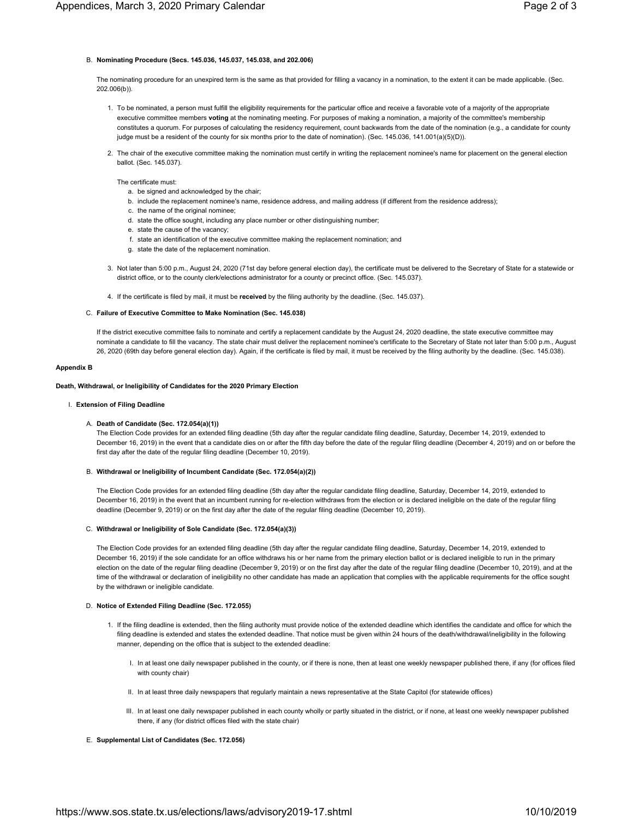# B. **Nominating Procedure (Secs. 145.036, 145.037, 145.038, and 202.006)**

The nominating procedure for an unexpired term is the same as that provided for filling a vacancy in a nomination, to the extent it can be made applicable. (Sec. 202.006(b)).

- 1. To be nominated, a person must fulfill the eligibility requirements for the particular office and receive a favorable vote of a majority of the appropriate executive committee members **voting** at the nominating meeting. For purposes of making a nomination, a majority of the committee's membership constitutes a quorum. For purposes of calculating the residency requirement, count backwards from the date of the nomination (e.g., a candidate for county judge must be a resident of the county for six months prior to the date of nomination). (Sec. 145.036, 141.001(a)(5)(D)).
- 2. The chair of the executive committee making the nomination must certify in writing the replacement nominee's name for placement on the general election ballot. (Sec. 145.037).

The certificate must:

- a. be signed and acknowledged by the chair;
- b. include the replacement nominee's name, residence address, and mailing address (if different from the residence address);
- c. the name of the original nominee;
- d. state the office sought, including any place number or other distinguishing number;
- e. state the cause of the vacancy;
- f. state an identification of the executive committee making the replacement nomination; and
- g. state the date of the replacement nomination.
- 3. Not later than 5:00 p.m., August 24, 2020 (71st day before general election day), the certificate must be delivered to the Secretary of State for a statewide or district office, or to the county clerk/elections administrator for a county or precinct office. (Sec. 145.037).
- 4. If the certificate is filed by mail, it must be **received** by the filing authority by the deadline. (Sec. 145.037).

## C. **Failure of Executive Committee to Make Nomination (Sec. 145.038)**

If the district executive committee fails to nominate and certify a replacement candidate by the August 24, 2020 deadline, the state executive committee may nominate a candidate to fill the vacancy. The state chair must deliver the replacement nominee's certificate to the Secretary of State not later than 5:00 p.m., August 26, 2020 (69th day before general election day). Again, if the certificate is filed by mail, it must be received by the filing authority by the deadline. (Sec. 145.038).

#### **Appendix B**

#### **Death, Withdrawal, or Ineligibility of Candidates for the 2020 Primary Election**

## I. **Extension of Filing Deadline**

## A. **Death of Candidate (Sec. 172.054(a)(1))**

The Election Code provides for an extended filing deadline (5th day after the regular candidate filing deadline, Saturday, December 14, 2019, extended to December 16, 2019) in the event that a candidate dies on or after the fifth day before the date of the regular filing deadline (December 4, 2019) and on or before the first day after the date of the regular filing deadline (December 10, 2019).

#### B. **Withdrawal or Ineligibility of Incumbent Candidate (Sec. 172.054(a)(2))**

The Election Code provides for an extended filing deadline (5th day after the regular candidate filing deadline, Saturday, December 14, 2019, extended to December 16, 2019) in the event that an incumbent running for re-election withdraws from the election or is declared ineligible on the date of the regular filing deadline (December 9, 2019) or on the first day after the date of the regular filing deadline (December 10, 2019).

## C. **Withdrawal or Ineligibility of Sole Candidate (Sec. 172.054(a)(3))**

The Election Code provides for an extended filing deadline (5th day after the regular candidate filing deadline, Saturday, December 14, 2019, extended to December 16, 2019) if the sole candidate for an office withdraws his or her name from the primary election ballot or is declared ineligible to run in the primary election on the date of the regular filing deadline (December 9, 2019) or on the first day after the date of the regular filing deadline (December 10, 2019), and at the time of the withdrawal or declaration of ineligibility no other candidate has made an application that complies with the applicable requirements for the office sought by the withdrawn or ineligible candidate.

## D. **Notice of Extended Filing Deadline (Sec. 172.055)**

- 1. If the filing deadline is extended, then the filing authority must provide notice of the extended deadline which identifies the candidate and office for which the filing deadline is extended and states the extended deadline. That notice must be given within 24 hours of the death/withdrawal/ineligibility in the following manner, depending on the office that is subject to the extended deadline:
	- I. In at least one daily newspaper published in the county, or if there is none, then at least one weekly newspaper published there, if any (for offices filed with county chair)
	- II. In at least three daily newspapers that regularly maintain a news representative at the State Capitol (for statewide offices)
	- III. In at least one daily newspaper published in each county wholly or partly situated in the district, or if none, at least one weekly newspaper published there, if any (for district offices filed with the state chair)
- E. **Supplemental List of Candidates (Sec. 172.056)**